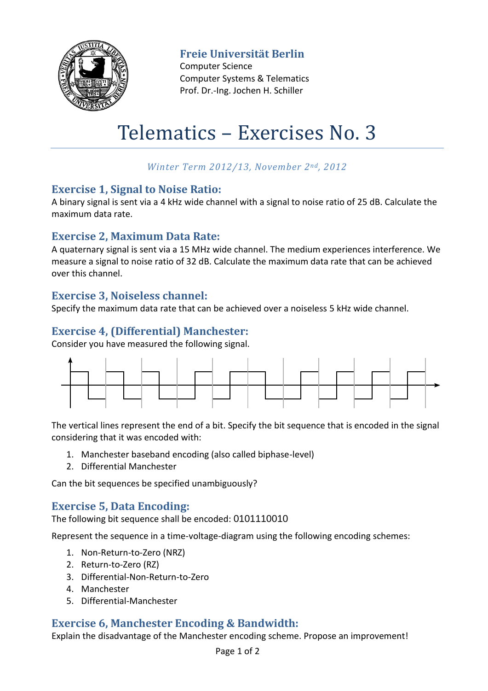

**Freie Universität Berlin**

Computer Science Computer Systems & Telematics Prof. Dr.-Ing. Jochen H. Schiller

# Telematics – Exercises No. 3

### *Winter Term 2012/13, November 2nd, 2012*

#### **Exercise 1, Signal to Noise Ratio:**

A binary signal is sent via a 4 kHz wide channel with a signal to noise ratio of 25 dB. Calculate the maximum data rate.

#### **Exercise 2, Maximum Data Rate:**

A quaternary signal is sent via a 15 MHz wide channel. The medium experiences interference. We measure a signal to noise ratio of 32 dB. Calculate the maximum data rate that can be achieved over this channel.

### **Exercise 3, Noiseless channel:**

Specify the maximum data rate that can be achieved over a noiseless 5 kHz wide channel.

### **Exercise 4, (Differential) Manchester:**

Consider you have measured the following signal.



The vertical lines represent the end of a bit. Specify the bit sequence that is encoded in the signal considering that it was encoded with:

- 1. Manchester baseband encoding (also called biphase-level)
- 2. Differential Manchester

Can the bit sequences be specified unambiguously?

#### **Exercise 5, Data Encoding:**

The following bit sequence shall be encoded: 0101110010

Represent the sequence in a time-voltage-diagram using the following encoding schemes:

- 1. Non-Return-to-Zero (NRZ)
- 2. Return-to-Zero (RZ)
- 3. Differential-Non-Return-to-Zero
- 4. Manchester
- 5. Differential-Manchester

## **Exercise 6, Manchester Encoding & Bandwidth:**

Explain the disadvantage of the Manchester encoding scheme. Propose an improvement!